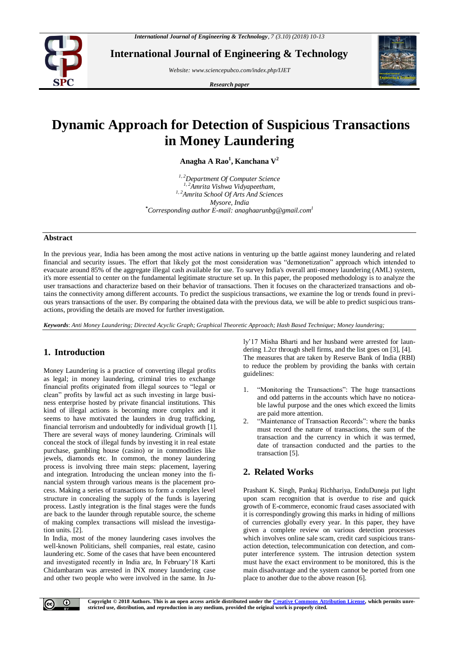

**International Journal of Engineering & Technology**

*Website: [www.sciencepubco.com/index.php/IJET](http://www.sciencepubco.com/index.php/IJET)*

*Research paper*



# **Dynamic Approach for Detection of Suspicious Transactions in Money Laundering**

**Anagha A Rao<sup>1</sup> , Kanchana V<sup>2</sup>**

*1, 2Department Of Computer Science 1, 2Amrita Vishwa Vidyapeetham, 1, 2Amrita School Of Arts And Sciences Mysore, India \*Corresponding author E-mail: [anaghaarunbg@gmail.com](mailto:anaghaarunbg@gmail.com)<sup>1</sup>*

#### **Abstract**

In the previous year, India has been among the most active nations in venturing up the battle against money laundering and related financial and security issues. The effort that likely got the most consideration was "demonetization" approach which intended to evacuate around 85% of the aggregate illegal cash available for use. To survey India's overall anti-money laundering (AML) system, it's more essential to center on the fundamental legitimate structure set up. In this paper, the proposed methodology is to analyze the user transactions and characterize based on their behavior of transactions. Then it focuses on the characterized transactions and obtains the connectivity among different accounts. To predict the suspicious transactions, we examine the log or trends found in previous years transactions of the user. By comparing the obtained data with the previous data, we will be able to predict suspicious transactions, providing the details are moved for further investigation.

*Keywords*: *Anti Money Laundering; Directed Acyclic Graph; Graphical Theoretic Approach; Hash Based Technique; Money laundering;*

## **1. Introduction**

Money Laundering is a practice of converting illegal profits as legal; in money laundering, criminal tries to exchange financial profits originated from illegal sources to "legal or clean" profits by lawful act as such investing in large business enterprise hosted by private financial institutions. This kind of illegal actions is becoming more complex and it seems to have motivated the launders in drug trafficking, financial terrorism and undoubtedly for individual growth [1]. There are several ways of money laundering. Criminals will conceal the stock of illegal funds by investing it in real estate purchase, gambling house (casino) or in commodities like jewels, diamonds etc. In common, the money laundering process is involving three main steps: placement, layering and integration. Introducing the unclean money into the financial system through various means is the placement process. Making a series of transactions to form a complex level structure in concealing the supply of the funds is layering process. Lastly integration is the final stages were the funds are back to the launder through reputable source, the scheme of making complex transactions will mislead the investigation units. [2].

In India, most of the money laundering cases involves the well-known Politicians, shell companies, real estate, casino laundering etc. Some of the cases that have been encountered and investigated recently in India are, In February'18 Karti Chidambaram was arrested in INX money laundering case and other two people who were involved in the same. In July'17 Misha Bharti and her husband were arrested for laundering 1.2cr through shell firms, and the list goes on [3], [4]. The measures that are taken by Reserve Bank of India (RBI) to reduce the problem by providing the banks with certain guidelines:

- 1. "Monitoring the Transactions": The huge transactions and odd patterns in the accounts which have no noticeable lawful purpose and the ones which exceed the limits are paid more attention.
- "Maintenance of Transaction Records": where the banks must record the nature of transactions, the sum of the transaction and the currency in which it was termed, date of transaction conducted and the parties to the transaction [5].

# **2. Related Works**

Prashant K. Singh, Pankaj Richhariya, EnduDuneja put light upon scam recognition that is overdue to rise and quick growth of E-commerce, economic fraud cases associated with it is correspondingly growing this marks in hiding of millions of currencies globally every year. In this paper, they have given a complete review on various detection processes which involves online sale scam, credit card suspicious transaction detection, telecommunication con detection, and computer interference system. The intrusion detection system must have the exact environment to be monitored, this is the main disadvantage and the system cannot be ported from one place to another due to the above reason [6].

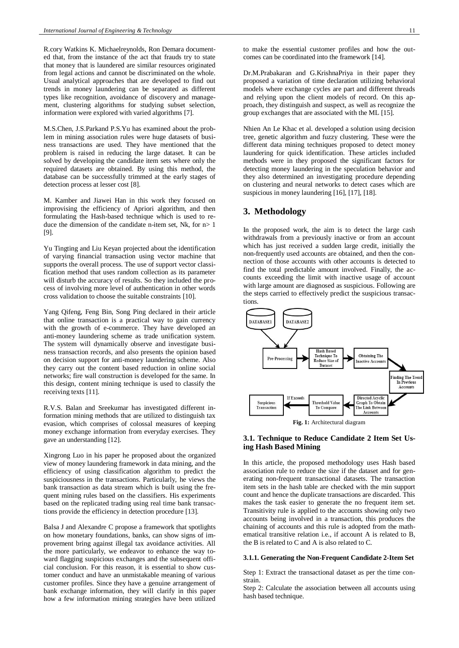R.cory Watkins K. Michaelreynolds, Ron Demara documented that, from the instance of the act that frauds try to state that money that is laundered are similar resources originated from legal actions and cannot be discriminated on the whole. Usual analytical approaches that are developed to find out trends in money laundering can be separated as different types like recognition, avoidance of discovery and management, clustering algorithms for studying subset selection, information were explored with varied algorithms [7].

M.S.Chen, J.S.Parkand P.S.Yu has examined about the problem in mining association rules were huge datasets of business transactions are used. They have mentioned that the problem is raised in reducing the large dataset. It can be solved by developing the candidate item sets where only the required datasets are obtained. By using this method, the database can be successfully trimmed at the early stages of detection process at lesser cost [8].

M. Kamber and Jiawei Han in this work they focused on improvising the efficiency of Apriori algorithm, and then formulating the Hash-based technique which is used to reduce the dimension of the candidate n-item set, Nk, for  $n>1$ [9].

Yu Tingting and Liu Keyan projected about the identification of varying financial transaction using vector machine that supports the overall process. The use of support vector classification method that uses random collection as its parameter will disturb the accuracy of results. So they included the process of involving more level of authentication in other words cross validation to choose the suitable constraints [10].

Yang Qifeng, Feng Bin, Song Ping declared in their article that online transaction is a practical way to gain currency with the growth of e-commerce. They have developed an anti-money laundering scheme as trade unification system. The system will dynamically observe and investigate business transaction records, and also presents the opinion based on decision support for anti-money laundering scheme. Also they carry out the content based reduction in online social networks; fire wall construction is developed for the same. In this design, content mining technique is used to classify the receiving texts [11].

R.V.S. Balan and Sreekumar has investigated different information mining methods that are utilized to distinguish tax evasion, which comprises of colossal measures of keeping money exchange information from everyday exercises. They gave an understanding [12].

Xingrong Luo in his paper he proposed about the organized view of money laundering framework in data mining, and the efficiency of using classification algorithm to predict the suspiciousness in the transactions. Particularly, he views the bank transaction as data stream which is built using the frequent mining rules based on the classifiers. His experiments based on the replicated trading using real time bank transactions provide the efficiency in detection procedure [13].

Balsa J and Alexandre C propose a framework that spotlights on how monetary foundations, banks, can show signs of improvement bring against illegal tax avoidance activities. All the more particularly, we endeavor to enhance the way toward flagging suspicious exchanges and the subsequent official conclusion. For this reason, it is essential to show customer conduct and have an unmistakable meaning of various customer profiles. Since they have a genuine arrangement of bank exchange information, they will clarify in this paper how a few information mining strategies have been utilized

to make the essential customer profiles and how the outcomes can be coordinated into the framework [14].

Dr.M.Prabakaran and G.KrishnaPriya in their paper they proposed a variation of time declaration utilizing behavioral models where exchange cycles are part and different threads and relying upon the client models of record. On this approach, they distinguish and suspect, as well as recognize the group exchanges that are associated with the ML [15].

Nhien An Le Khac et al. developed a solution using decision tree, genetic algorithm and fuzzy clustering. These were the different data mining techniques proposed to detect money laundering for quick identification. These articles included methods were in they proposed the significant factors for detecting money laundering in the speculation behavior and they also determined an investigating procedure depending on clustering and neural networks to detect cases which are suspicious in money laundering [16], [17], [18].

### **3. Methodology**

In the proposed work, the aim is to detect the large cash withdrawals from a previously inactive or from an account which has just received a sudden large credit, initially the non-frequently used accounts are obtained, and then the connection of those accounts with other accounts is detected to find the total predictable amount involved. Finally, the accounts exceeding the limit with inactive usage of account with large amount are diagnosed as suspicious. Following are the steps carried to effectively predict the suspicious transactions.



#### **3.1. Technique to Reduce Candidate 2 Item Set Using Hash Based Mining**

In this article, the proposed methodology uses Hash based association rule to reduce the size if the dataset and for generating non-frequent transactional datasets. The transaction item sets in the hash table are checked with the min support count and hence the duplicate transactions are discarded. This makes the task easier to generate the no frequent item set. Transitivity rule is applied to the accounts showing only two accounts being involved in a transaction, this produces the chaining of accounts and this rule is adopted from the mathematical transitive relation i.e., if account A is related to B, the B is related to C and A is also related to C.

#### **3.1.1. Generating the Non-Frequent Candidate 2-Item Set**

Step 1: Extract the transactional dataset as per the time constrain.

Step 2: Calculate the association between all accounts using hash based technique.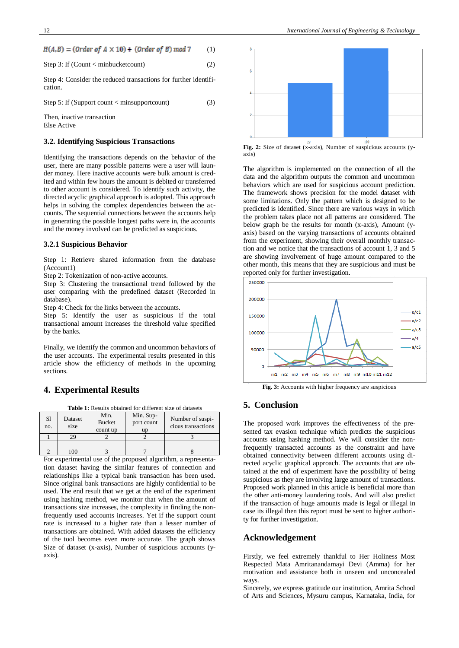|  |  | $H(A, B) = (Order of A \times 10) + (Order of B) mod 7$ | (1) |
|--|--|---------------------------------------------------------|-----|
|--|--|---------------------------------------------------------|-----|

Step 3: If (Count < minbucketcount) 
$$
(2)
$$

Step 4: Consider the reduced transactions for further identification.

Step 5: If (Support count  $\langle$  minsupportcount) (3) Then, inactive transaction.

Else Active

#### **3.2. Identifying Suspicious Transactions**

Identifying the transactions depends on the behavior of the user, there are many possible patterns were a user will launder money. Here inactive accounts were bulk amount is credited and within few hours the amount is debited or transferred to other account is considered. To identify such activity, the directed acyclic graphical approach is adopted. This approach helps in solving the complex dependencies between the accounts. The sequential connections between the accounts help in generating the possible longest paths were in, the accounts and the money involved can be predicted as suspicious.

#### **3.2.1 Suspicious Behavior**

Step 1: Retrieve shared information from the database (Account1)

Step 2: Tokenization of non-active accounts.

Step 3: Clustering the transactional trend followed by the user comparing with the predefined dataset (Recorded in database).

Step 4: Check for the links between the accounts.

Step 5: Identify the user as suspicious if the total transactional amount increases the threshold value specified by the banks.

Finally, we identify the common and uncommon behaviors of the user accounts. The experimental results presented in this article show the efficiency of methods in the upcoming sections.

## **4. Experimental Results**

**Table 1:** Results obtained for different size of datasets

| <sub>S1</sub><br>no. | Dataset<br>size | Min.<br><b>Bucket</b><br>count up | Min. Sup-<br>port count<br>up | Number of suspi-<br>cious transactions |
|----------------------|-----------------|-----------------------------------|-------------------------------|----------------------------------------|
|                      | 29              |                                   |                               |                                        |
|                      | ۱OC             |                                   |                               |                                        |

For experimental use of the proposed algorithm, a representation dataset having the similar features of connection and relationships like a typical bank transaction has been used. Since original bank transactions are highly confidential to be used. The end result that we get at the end of the experiment using hashing method, we monitor that when the amount of transactions size increases, the complexity in finding the nonfrequently used accounts increases. Yet if the support count rate is increased to a higher rate than a lesser number of transactions are obtained. With added datasets the efficiency of the tool becomes even more accurate. The graph shows Size of dataset (x-axis), Number of suspicious accounts (yaxis).



**Fig. 2:** Size of dataset (x-axis), Number of suspicious accounts (yaxis)

The algorithm is implemented on the connection of all the data and the algorithm outputs the common and uncommon behaviors which are used for suspicious account prediction. The framework shows precision for the model dataset with some limitations. Only the pattern which is designed to be predicted is identified. Since there are various ways in which the problem takes place not all patterns are considered. The below graph be the results for month (x-axis), Amount (yaxis) based on the varying transactions of accounts obtained from the experiment, showing their overall monthly transaction and we notice that the transactions of account 1, 3 and 5 are showing involvement of huge amount compared to the other month, this means that they are suspicious and must be reported only for further investigation.



**Fig. 3:** Accounts with higher frequency are suspicious

## **5. Conclusion**

The proposed work improves the effectiveness of the presented tax evasion technique which predicts the suspicious accounts using hashing method. We will consider the nonfrequently transacted accounts as the constraint and have obtained connectivity between different accounts using directed acyclic graphical approach. The accounts that are obtained at the end of experiment have the possibility of being suspicious as they are involving large amount of transactions. Proposed work planned in this article is beneficial more than the other anti-money laundering tools. And will also predict if the transaction of huge amounts made is legal or illegal in case its illegal then this report must be sent to higher authority for further investigation.

## **Acknowledgement**

Firstly, we feel extremely thankful to Her Holiness Most Respected Mata Amritanandamayi Devi (Amma) for her motivation and assistance both in unseen and unconcealed ways.

Sincerely, we express gratitude our institution, Amrita School of Arts and Sciences, Mysuru campus, Karnataka, India, for